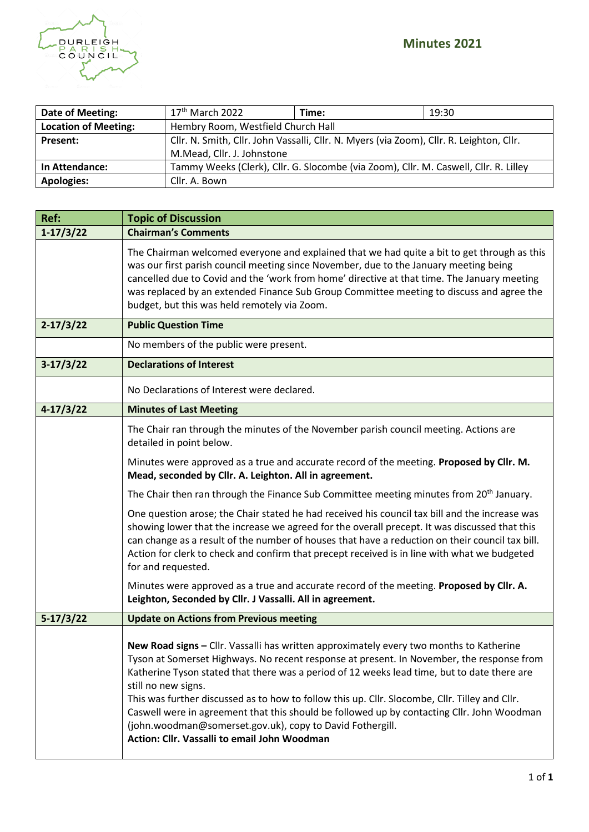

| Date of Meeting:            | $17th$ March 2022                                                                        | Time:                                                                                | 19:30 |
|-----------------------------|------------------------------------------------------------------------------------------|--------------------------------------------------------------------------------------|-------|
| <b>Location of Meeting:</b> | Hembry Room, Westfield Church Hall                                                       |                                                                                      |       |
| Present:                    | Cllr. N. Smith, Cllr. John Vassalli, Cllr. N. Myers (via Zoom), Cllr. R. Leighton, Cllr. |                                                                                      |       |
|                             | M.Mead, Cllr. J. Johnstone                                                               |                                                                                      |       |
| In Attendance:              |                                                                                          | Tammy Weeks (Clerk), Cllr. G. Slocombe (via Zoom), Cllr. M. Caswell, Cllr. R. Lilley |       |
| <b>Apologies:</b>           | Cllr. A. Bown                                                                            |                                                                                      |       |

| Ref:          | <b>Topic of Discussion</b>                                                                                                                                                                                                                                                                                                                                                                                                                                                                                                                                                                                              |
|---------------|-------------------------------------------------------------------------------------------------------------------------------------------------------------------------------------------------------------------------------------------------------------------------------------------------------------------------------------------------------------------------------------------------------------------------------------------------------------------------------------------------------------------------------------------------------------------------------------------------------------------------|
| $1-17/3/22$   | <b>Chairman's Comments</b>                                                                                                                                                                                                                                                                                                                                                                                                                                                                                                                                                                                              |
|               | The Chairman welcomed everyone and explained that we had quite a bit to get through as this<br>was our first parish council meeting since November, due to the January meeting being<br>cancelled due to Covid and the 'work from home' directive at that time. The January meeting<br>was replaced by an extended Finance Sub Group Committee meeting to discuss and agree the<br>budget, but this was held remotely via Zoom.                                                                                                                                                                                         |
| $2 - 17/3/22$ | <b>Public Question Time</b>                                                                                                                                                                                                                                                                                                                                                                                                                                                                                                                                                                                             |
|               | No members of the public were present.                                                                                                                                                                                                                                                                                                                                                                                                                                                                                                                                                                                  |
| $3-17/3/22$   | <b>Declarations of Interest</b>                                                                                                                                                                                                                                                                                                                                                                                                                                                                                                                                                                                         |
|               | No Declarations of Interest were declared.                                                                                                                                                                                                                                                                                                                                                                                                                                                                                                                                                                              |
| $4-17/3/22$   | <b>Minutes of Last Meeting</b>                                                                                                                                                                                                                                                                                                                                                                                                                                                                                                                                                                                          |
|               | The Chair ran through the minutes of the November parish council meeting. Actions are<br>detailed in point below.                                                                                                                                                                                                                                                                                                                                                                                                                                                                                                       |
|               | Minutes were approved as a true and accurate record of the meeting. Proposed by Cllr. M.<br>Mead, seconded by Cllr. A. Leighton. All in agreement.                                                                                                                                                                                                                                                                                                                                                                                                                                                                      |
|               | The Chair then ran through the Finance Sub Committee meeting minutes from 20 <sup>th</sup> January.                                                                                                                                                                                                                                                                                                                                                                                                                                                                                                                     |
|               | One question arose; the Chair stated he had received his council tax bill and the increase was<br>showing lower that the increase we agreed for the overall precept. It was discussed that this<br>can change as a result of the number of houses that have a reduction on their council tax bill.<br>Action for clerk to check and confirm that precept received is in line with what we budgeted<br>for and requested.                                                                                                                                                                                                |
|               | Minutes were approved as a true and accurate record of the meeting. Proposed by Cllr. A.<br>Leighton, Seconded by Cllr. J Vassalli. All in agreement.                                                                                                                                                                                                                                                                                                                                                                                                                                                                   |
| $5-17/3/22$   | <b>Update on Actions from Previous meeting</b>                                                                                                                                                                                                                                                                                                                                                                                                                                                                                                                                                                          |
|               | New Road signs - Cllr. Vassalli has written approximately every two months to Katherine<br>Tyson at Somerset Highways. No recent response at present. In November, the response from<br>Katherine Tyson stated that there was a period of 12 weeks lead time, but to date there are<br>still no new signs.<br>This was further discussed as to how to follow this up. Cllr. Slocombe, Cllr. Tilley and Cllr.<br>Caswell were in agreement that this should be followed up by contacting Cllr. John Woodman<br>(john.woodman@somerset.gov.uk), copy to David Fothergill.<br>Action: Cllr. Vassalli to email John Woodman |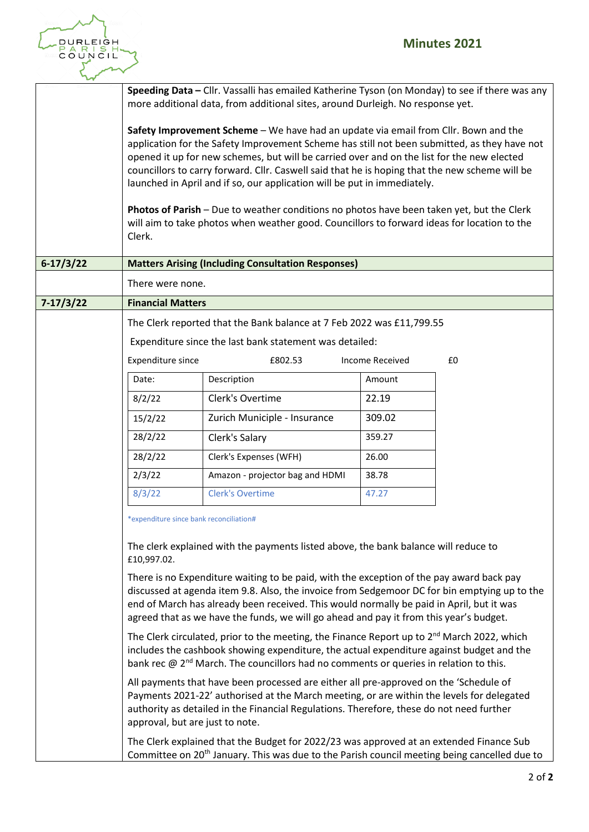

|               |                                         | Speeding Data - Cllr. Vassalli has emailed Katherine Tyson (on Monday) to see if there was any<br>more additional data, from additional sites, around Durleigh. No response yet.                                                                                                                                                                                                                                                                                                                                                                             |                        |    |
|---------------|-----------------------------------------|--------------------------------------------------------------------------------------------------------------------------------------------------------------------------------------------------------------------------------------------------------------------------------------------------------------------------------------------------------------------------------------------------------------------------------------------------------------------------------------------------------------------------------------------------------------|------------------------|----|
|               |                                         | Safety Improvement Scheme - We have had an update via email from Cllr. Bown and the<br>application for the Safety Improvement Scheme has still not been submitted, as they have not<br>opened it up for new schemes, but will be carried over and on the list for the new elected<br>councillors to carry forward. Cllr. Caswell said that he is hoping that the new scheme will be<br>launched in April and if so, our application will be put in immediately.<br>Photos of Parish - Due to weather conditions no photos have been taken yet, but the Clerk |                        |    |
|               | Clerk.                                  | will aim to take photos when weather good. Councillors to forward ideas for location to the                                                                                                                                                                                                                                                                                                                                                                                                                                                                  |                        |    |
| $6-17/3/22$   |                                         | <b>Matters Arising (Including Consultation Responses)</b>                                                                                                                                                                                                                                                                                                                                                                                                                                                                                                    |                        |    |
|               | There were none.                        |                                                                                                                                                                                                                                                                                                                                                                                                                                                                                                                                                              |                        |    |
| $7 - 17/3/22$ | <b>Financial Matters</b>                |                                                                                                                                                                                                                                                                                                                                                                                                                                                                                                                                                              |                        |    |
|               |                                         | The Clerk reported that the Bank balance at 7 Feb 2022 was £11,799.55                                                                                                                                                                                                                                                                                                                                                                                                                                                                                        |                        |    |
|               |                                         | Expenditure since the last bank statement was detailed:                                                                                                                                                                                                                                                                                                                                                                                                                                                                                                      |                        |    |
|               | Expenditure since                       | £802.53                                                                                                                                                                                                                                                                                                                                                                                                                                                                                                                                                      | <b>Income Received</b> | £0 |
|               | Date:                                   | Description                                                                                                                                                                                                                                                                                                                                                                                                                                                                                                                                                  | Amount                 |    |
|               | 8/2/22                                  | Clerk's Overtime                                                                                                                                                                                                                                                                                                                                                                                                                                                                                                                                             | 22.19                  |    |
|               | 15/2/22                                 | Zurich Municiple - Insurance                                                                                                                                                                                                                                                                                                                                                                                                                                                                                                                                 | 309.02                 |    |
|               | 28/2/22                                 | Clerk's Salary                                                                                                                                                                                                                                                                                                                                                                                                                                                                                                                                               | 359.27                 |    |
|               | 28/2/22                                 | Clerk's Expenses (WFH)                                                                                                                                                                                                                                                                                                                                                                                                                                                                                                                                       | 26.00                  |    |
|               | 2/3/22                                  | Amazon - projector bag and HDMI                                                                                                                                                                                                                                                                                                                                                                                                                                                                                                                              | 38.78                  |    |
|               | 8/3/22                                  | <b>Clerk's Overtime</b>                                                                                                                                                                                                                                                                                                                                                                                                                                                                                                                                      | 47.27                  |    |
|               | *expenditure since bank reconciliation# |                                                                                                                                                                                                                                                                                                                                                                                                                                                                                                                                                              |                        |    |
|               | £10,997.02.                             | The clerk explained with the payments listed above, the bank balance will reduce to                                                                                                                                                                                                                                                                                                                                                                                                                                                                          |                        |    |
|               |                                         | There is no Expenditure waiting to be paid, with the exception of the pay award back pay<br>discussed at agenda item 9.8. Also, the invoice from Sedgemoor DC for bin emptying up to the<br>end of March has already been received. This would normally be paid in April, but it was<br>agreed that as we have the funds, we will go ahead and pay it from this year's budget.                                                                                                                                                                               |                        |    |
|               |                                         | The Clerk circulated, prior to the meeting, the Finance Report up to $2^{nd}$ March 2022, which<br>includes the cashbook showing expenditure, the actual expenditure against budget and the<br>bank rec $@2^{nd}$ March. The councillors had no comments or queries in relation to this.                                                                                                                                                                                                                                                                     |                        |    |
|               | approval, but are just to note.         | All payments that have been processed are either all pre-approved on the 'Schedule of<br>Payments 2021-22' authorised at the March meeting, or are within the levels for delegated<br>authority as detailed in the Financial Regulations. Therefore, these do not need further                                                                                                                                                                                                                                                                               |                        |    |
|               |                                         | The Clerk explained that the Budget for 2022/23 was approved at an extended Finance Sub<br>Committee on 20 <sup>th</sup> January. This was due to the Parish council meeting being cancelled due to                                                                                                                                                                                                                                                                                                                                                          |                        |    |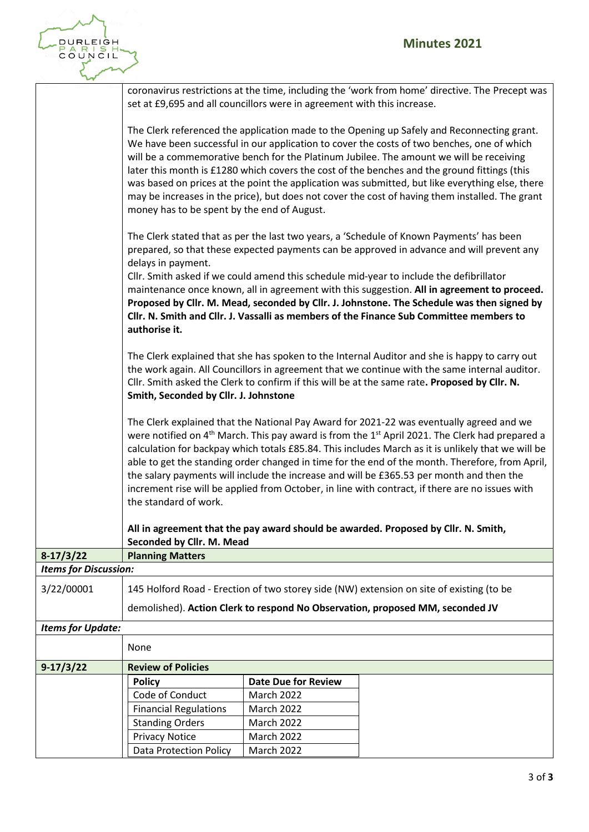

|                              | set at £9,695 and all councillors were in agreement with this increase. |                            | coronavirus restrictions at the time, including the 'work from home' directive. The Precept was                                                                                                                                                                                                                                                                                                                                                                                                                                                                                                                             |
|------------------------------|-------------------------------------------------------------------------|----------------------------|-----------------------------------------------------------------------------------------------------------------------------------------------------------------------------------------------------------------------------------------------------------------------------------------------------------------------------------------------------------------------------------------------------------------------------------------------------------------------------------------------------------------------------------------------------------------------------------------------------------------------------|
|                              | money has to be spent by the end of August.                             |                            | The Clerk referenced the application made to the Opening up Safely and Reconnecting grant.<br>We have been successful in our application to cover the costs of two benches, one of which<br>will be a commemorative bench for the Platinum Jubilee. The amount we will be receiving<br>later this month is £1280 which covers the cost of the benches and the ground fittings (this<br>was based on prices at the point the application was submitted, but like everything else, there<br>may be increases in the price), but does not cover the cost of having them installed. The grant                                   |
|                              | delays in payment.<br>authorise it.                                     |                            | The Clerk stated that as per the last two years, a 'Schedule of Known Payments' has been<br>prepared, so that these expected payments can be approved in advance and will prevent any<br>Cllr. Smith asked if we could amend this schedule mid-year to include the defibrillator<br>maintenance once known, all in agreement with this suggestion. All in agreement to proceed.<br>Proposed by Cllr. M. Mead, seconded by Cllr. J. Johnstone. The Schedule was then signed by<br>Cllr. N. Smith and Cllr. J. Vassalli as members of the Finance Sub Committee members to                                                    |
|                              | Smith, Seconded by Cllr. J. Johnstone                                   |                            | The Clerk explained that she has spoken to the Internal Auditor and she is happy to carry out<br>the work again. All Councillors in agreement that we continue with the same internal auditor.<br>Cllr. Smith asked the Clerk to confirm if this will be at the same rate. Proposed by Cllr. N.                                                                                                                                                                                                                                                                                                                             |
|                              | the standard of work.                                                   |                            | The Clerk explained that the National Pay Award for 2021-22 was eventually agreed and we<br>were notified on 4 <sup>th</sup> March. This pay award is from the 1 <sup>st</sup> April 2021. The Clerk had prepared a<br>calculation for backpay which totals £85.84. This includes March as it is unlikely that we will be<br>able to get the standing order changed in time for the end of the month. Therefore, from April,<br>the salary payments will include the increase and will be £365.53 per month and then the<br>increment rise will be applied from October, in line with contract, if there are no issues with |
|                              | Seconded by Cllr. M. Mead                                               |                            | All in agreement that the pay award should be awarded. Proposed by Cllr. N. Smith,                                                                                                                                                                                                                                                                                                                                                                                                                                                                                                                                          |
| $8-17/3/22$                  | <b>Planning Matters</b>                                                 |                            |                                                                                                                                                                                                                                                                                                                                                                                                                                                                                                                                                                                                                             |
| <b>Items for Discussion:</b> |                                                                         |                            |                                                                                                                                                                                                                                                                                                                                                                                                                                                                                                                                                                                                                             |
| 3/22/00001                   |                                                                         |                            | 145 Holford Road - Erection of two storey side (NW) extension on site of existing (to be<br>demolished). Action Clerk to respond No Observation, proposed MM, seconded JV                                                                                                                                                                                                                                                                                                                                                                                                                                                   |
| <b>Items for Update:</b>     |                                                                         |                            |                                                                                                                                                                                                                                                                                                                                                                                                                                                                                                                                                                                                                             |
|                              | None                                                                    |                            |                                                                                                                                                                                                                                                                                                                                                                                                                                                                                                                                                                                                                             |
| 9-17/3/22                    | <b>Review of Policies</b>                                               |                            |                                                                                                                                                                                                                                                                                                                                                                                                                                                                                                                                                                                                                             |
|                              | <b>Policy</b>                                                           | <b>Date Due for Review</b> |                                                                                                                                                                                                                                                                                                                                                                                                                                                                                                                                                                                                                             |
|                              | Code of Conduct                                                         | March 2022                 |                                                                                                                                                                                                                                                                                                                                                                                                                                                                                                                                                                                                                             |
|                              | <b>Financial Regulations</b>                                            | <b>March 2022</b>          |                                                                                                                                                                                                                                                                                                                                                                                                                                                                                                                                                                                                                             |
|                              | <b>Standing Orders</b>                                                  | <b>March 2022</b>          |                                                                                                                                                                                                                                                                                                                                                                                                                                                                                                                                                                                                                             |
|                              | <b>Privacy Notice</b>                                                   | March 2022                 |                                                                                                                                                                                                                                                                                                                                                                                                                                                                                                                                                                                                                             |
|                              | <b>Data Protection Policy</b>                                           | March 2022                 |                                                                                                                                                                                                                                                                                                                                                                                                                                                                                                                                                                                                                             |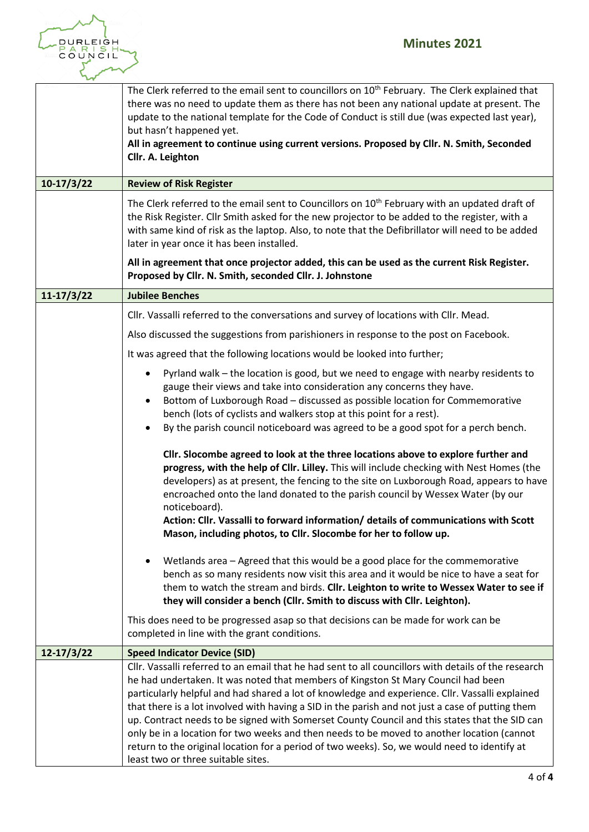

| $10-17/3/22$   | The Clerk referred to the email sent to councillors on 10 <sup>th</sup> February. The Clerk explained that<br>there was no need to update them as there has not been any national update at present. The<br>update to the national template for the Code of Conduct is still due (was expected last year),<br>but hasn't happened yet.<br>All in agreement to continue using current versions. Proposed by Cllr. N. Smith, Seconded<br>Cllr. A. Leighton<br><b>Review of Risk Register</b>                                                                                                                                                                                                                                            |
|----------------|---------------------------------------------------------------------------------------------------------------------------------------------------------------------------------------------------------------------------------------------------------------------------------------------------------------------------------------------------------------------------------------------------------------------------------------------------------------------------------------------------------------------------------------------------------------------------------------------------------------------------------------------------------------------------------------------------------------------------------------|
|                | The Clerk referred to the email sent to Councillors on 10 <sup>th</sup> February with an updated draft of<br>the Risk Register. Cllr Smith asked for the new projector to be added to the register, with a<br>with same kind of risk as the laptop. Also, to note that the Defibrillator will need to be added<br>later in year once it has been installed.                                                                                                                                                                                                                                                                                                                                                                           |
|                | All in agreement that once projector added, this can be used as the current Risk Register.<br>Proposed by Cllr. N. Smith, seconded Cllr. J. Johnstone                                                                                                                                                                                                                                                                                                                                                                                                                                                                                                                                                                                 |
| $11 - 17/3/22$ | <b>Jubilee Benches</b>                                                                                                                                                                                                                                                                                                                                                                                                                                                                                                                                                                                                                                                                                                                |
|                | Cllr. Vassalli referred to the conversations and survey of locations with Cllr. Mead.                                                                                                                                                                                                                                                                                                                                                                                                                                                                                                                                                                                                                                                 |
|                | Also discussed the suggestions from parishioners in response to the post on Facebook.                                                                                                                                                                                                                                                                                                                                                                                                                                                                                                                                                                                                                                                 |
|                | It was agreed that the following locations would be looked into further;                                                                                                                                                                                                                                                                                                                                                                                                                                                                                                                                                                                                                                                              |
|                | Pyrland walk - the location is good, but we need to engage with nearby residents to<br>$\bullet$<br>gauge their views and take into consideration any concerns they have.<br>Bottom of Luxborough Road - discussed as possible location for Commemorative<br>٠<br>bench (lots of cyclists and walkers stop at this point for a rest).<br>By the parish council noticeboard was agreed to be a good spot for a perch bench.                                                                                                                                                                                                                                                                                                            |
|                | Cllr. Slocombe agreed to look at the three locations above to explore further and<br>progress, with the help of Cllr. Lilley. This will include checking with Nest Homes (the<br>developers) as at present, the fencing to the site on Luxborough Road, appears to have<br>encroached onto the land donated to the parish council by Wessex Water (by our<br>noticeboard).<br>Action: Cllr. Vassalli to forward information/ details of communications with Scott<br>Mason, including photos, to Cllr. Slocombe for her to follow up.                                                                                                                                                                                                 |
|                | Wetlands area - Agreed that this would be a good place for the commemorative<br>bench as so many residents now visit this area and it would be nice to have a seat for<br>them to watch the stream and birds. Cllr. Leighton to write to Wessex Water to see if<br>they will consider a bench (Cllr. Smith to discuss with Cllr. Leighton).                                                                                                                                                                                                                                                                                                                                                                                           |
|                | This does need to be progressed asap so that decisions can be made for work can be<br>completed in line with the grant conditions.                                                                                                                                                                                                                                                                                                                                                                                                                                                                                                                                                                                                    |
| $12 - 17/3/22$ | <b>Speed Indicator Device (SID)</b>                                                                                                                                                                                                                                                                                                                                                                                                                                                                                                                                                                                                                                                                                                   |
|                | Cllr. Vassalli referred to an email that he had sent to all councillors with details of the research<br>he had undertaken. It was noted that members of Kingston St Mary Council had been<br>particularly helpful and had shared a lot of knowledge and experience. Cllr. Vassalli explained<br>that there is a lot involved with having a SID in the parish and not just a case of putting them<br>up. Contract needs to be signed with Somerset County Council and this states that the SID can<br>only be in a location for two weeks and then needs to be moved to another location (cannot<br>return to the original location for a period of two weeks). So, we would need to identify at<br>least two or three suitable sites. |